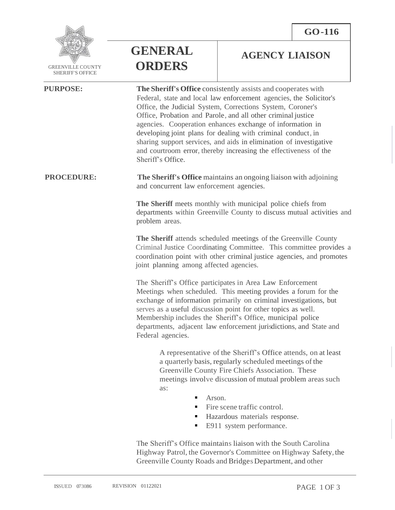

GREENVILLE COUNTY SHERIFF'S OFFICE

**GENERAL ORDERS**

## **AGENCY LIAISON**

**PURPOSE: The Sheriff's Office** consistently assists and cooperates with Federal, state and local law enforcement agencies, the Solicitor's Office, the Judicial System, Corrections System, Coroner's Office, Probation and Parole, and all other criminal justice agencies. Cooperation enhances exchange of information in developing joint plans for dealing with criminal conduct, in sharing support services, and aids in elimination of investigative and courtroom error, thereby increasing the effectiveness of the Sheriff's Office.

## **PROCEDURE: The Sheriff's Office** maintains an ongoing liaison with adjoining and concurrent law enforcement agencies.

**The Sheriff** meets monthly with municipal police chiefs from departments within Greenville County to discuss mutual activities and problem areas.

**The Sheriff** attends scheduled meetings of the Greenville County Criminal Justice Coordinating Committee. This committee provides a coordination point with other criminal justice agencies, and promotes joint planning among affected agencies.

The Sheriff's Office participates in Area Law Enforcement Meetings when scheduled. This meeting provides a forum for the exchange of information primarily on criminal investigations, but serves as a useful discussion point for other topics as well. Membership includes the Sheriff's Office, municipal police departments, adjacent law enforcement jurisdictions, and State and Federal agencies.

> A representative of the Sheriff's Office attends, on at least a quarterly basis, regularly scheduled meetings of the Greenville County Fire Chiefs Association. These meetings involve discussion of mutual problem areas such as:

- Arson.
- $\blacksquare$  Fire scene traffic control.
- Hazardous materials response.
- E911 system performance.

The Sheriff's Office maintains liaison with the South Carolina Highway Patrol, the Governor's Committee on Highway Safety,the Greenville County Roads and BridgesDepartment, and other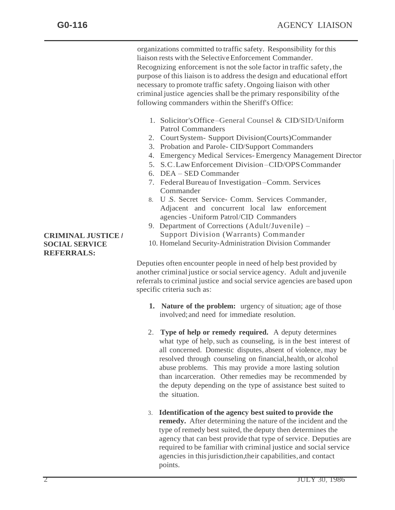organizations committed to traffic safety. Responsibility forthis liaison rests with the Selective Enforcement Commander. Recognizing enforcement is not the sole factor in traffic safety, the purpose of this liaison isto address the design and educational effort necessary to promote traffic safety. Ongoing liaison with other criminal justice agencies shall be the primary responsibility ofthe following commanders within the Sheriff's Office:

- 1. Solicitor'sOffice–General Counsel & CID/SID/Uniform Patrol Commanders
- 2. CourtSystem- Support Division(Courts)Commander
- 3. Probation and Parole- CID/Support Commanders
- 4. Emergency Medical Services- Emergency Management Director
- 5. S.C.LawEnforcement Division–CID/OPSCommander
- 6. DEA SED Commander
- 7. FederalBureauof Investigation–Comm. Services Commander
- 8. U .S. Secret Service- Comm. Services Commander, Adjacent and concurrent local law enforcement agencies -Uniform Patrol/CID Commanders
- 9. Department of Corrections (Adult/Juvenile) Support Division (Warrants) Commander
- 10. Homeland Security-Administration Division Commander

Deputies often encounter people in need of help best provided by another criminal justice or social service agency. Adult and juvenile referrals to criminal justice and social service agencies are based upon specific criteria such as:

- **1. Nature of the problem:** urgency of situation; age of those involved;and need for immediate resolution.
- 2. **Type of help or remedy required.** A deputy determines what type of help, such as counseling, is in the best interest of all concerned. Domestic disputes, absent of violence, may be resolved through counseling on financial,health, or alcohol abuse problems. This may provide a more lasting solution than incarceration. Other remedies may be recommended by the deputy depending on the type of assistance best suited to the situation.
- 3. **Identification of the agency best suited to provide the remedy.** After determining the nature of the incident and the type of remedy best suited, the deputy then determines the agency that can best provide that type of service. Deputies are required to be familiar with criminal justice and social service agencies in this jurisdiction, their capabilities, and contact points.

## **CRIMINAL JUSTICE** *I* **SOCIAL SERVICE REFERRALS:**